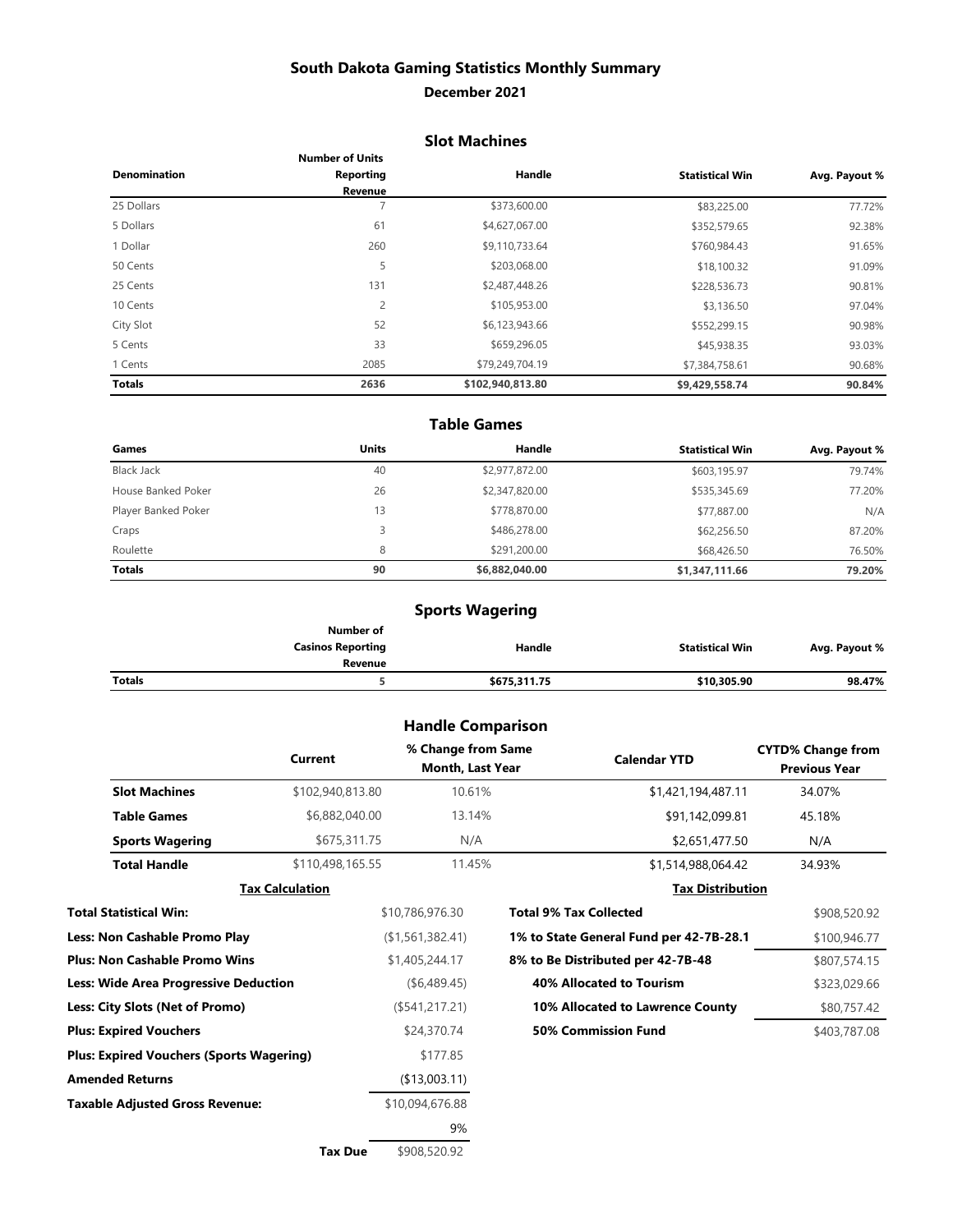## **South Dakota Gaming Statistics Monthly Summary**

### **December 2021**

### **Slot Machines**

|                     | <b>Number of Units</b> |                  |                        |               |
|---------------------|------------------------|------------------|------------------------|---------------|
| <b>Denomination</b> | Reporting              | Handle           | <b>Statistical Win</b> | Avg. Payout % |
|                     | Revenue                |                  |                        |               |
| 25 Dollars          |                        | \$373,600.00     | \$83,225.00            | 77.72%        |
| 5 Dollars           | 61                     | \$4,627,067.00   | \$352,579.65           | 92.38%        |
| 1 Dollar            | 260                    | \$9,110,733.64   | \$760,984.43           | 91.65%        |
| 50 Cents            | 5                      | \$203,068.00     | \$18,100.32            | 91.09%        |
| 25 Cents            | 131                    | \$2,487,448.26   | \$228,536.73           | 90.81%        |
| 10 Cents            | 2                      | \$105,953.00     | \$3,136.50             | 97.04%        |
| City Slot           | 52                     | \$6,123,943.66   | \$552,299.15           | 90.98%        |
| 5 Cents             | 33                     | \$659,296.05     | \$45,938.35            | 93.03%        |
| 1 Cents             | 2085                   | \$79,249,704.19  | \$7,384,758.61         | 90.68%        |
| <b>Totals</b>       | 2636                   | \$102,940,813.80 | \$9,429,558.74         | 90.84%        |

#### **Table Games**

| Games               | <b>Units</b> | Handle         | <b>Statistical Win</b> | Avg. Payout % |
|---------------------|--------------|----------------|------------------------|---------------|
| <b>Black Jack</b>   | 40           | \$2,977,872.00 | \$603,195.97           | 79.74%        |
| House Banked Poker  | 26           | \$2,347,820.00 | \$535,345.69           | 77.20%        |
| Player Banked Poker | 13           | \$778,870.00   | \$77,887.00            | N/A           |
| Craps               | 3            | \$486,278.00   | \$62,256.50            | 87.20%        |
| Roulette            | 8            | \$291,200,00   | \$68,426.50            | 76.50%        |
| <b>Totals</b>       | 90           | \$6,882,040.00 | \$1,347,111.66         | 79.20%        |

## **Sports Wagering**

|        | Number of                |              |                        |               |
|--------|--------------------------|--------------|------------------------|---------------|
|        | <b>Casinos Reporting</b> | Handle       | <b>Statistical Win</b> | Avg. Payout % |
|        | Revenue                  |              |                        |               |
| Totals |                          | \$675,311.75 | \$10,305.90            | 98.47%        |

## **Handle Comparison**

|                                                 | <b>Current</b>         | % Change from Same<br>Month, Last Year | <b>Calendar YTD</b>                     | <b>CYTD% Change from</b><br><b>Previous Year</b> |
|-------------------------------------------------|------------------------|----------------------------------------|-----------------------------------------|--------------------------------------------------|
| <b>Slot Machines</b>                            | \$102,940,813.80       | 10.61%                                 | \$1,421,194,487.11                      | 34.07%                                           |
| <b>Table Games</b>                              | \$6,882,040.00         | 13.14%                                 | \$91,142,099.81                         | 45.18%                                           |
| <b>Sports Wagering</b>                          | \$675,311.75           | N/A                                    | \$2,651,477.50                          | N/A                                              |
| <b>Total Handle</b>                             | \$110,498,165.55       | 11.45%                                 | \$1,514,988,064.42                      | 34.93%                                           |
|                                                 | <b>Tax Calculation</b> |                                        | <b>Tax Distribution</b>                 |                                                  |
| Total Statistical Win:                          |                        | \$10,786,976.30                        | <b>Total 9% Tax Collected</b>           | \$908,520.92                                     |
| <b>Less: Non Cashable Promo Play</b>            |                        | (\$1,561,382.41)                       | 1% to State General Fund per 42-7B-28.1 | \$100,946.77                                     |
| <b>Plus: Non Cashable Promo Wins</b>            |                        | \$1,405,244.17                         | 8% to Be Distributed per 42-7B-48       | \$807,574.15                                     |
| Less: Wide Area Progressive Deduction           |                        | ( \$6,489.45)                          | <b>40% Allocated to Tourism</b>         | \$323,029.66                                     |
| Less: City Slots (Net of Promo)                 |                        | (\$541,217.21)                         | 10% Allocated to Lawrence County        | \$80,757.42                                      |
| <b>Plus: Expired Vouchers</b>                   |                        | \$24,370.74                            | 50% Commission Fund                     | \$403,787.08                                     |
| <b>Plus: Expired Vouchers (Sports Wagering)</b> |                        | \$177.85                               |                                         |                                                  |
| <b>Amended Returns</b>                          |                        | (\$13,003.11)                          |                                         |                                                  |
| <b>Taxable Adjusted Gross Revenue:</b>          |                        | \$10,094,676.88                        |                                         |                                                  |
|                                                 |                        | 9%                                     |                                         |                                                  |
|                                                 |                        | $\frac{1}{2}$                          |                                         |                                                  |

**Tax Due** \$908,520.92